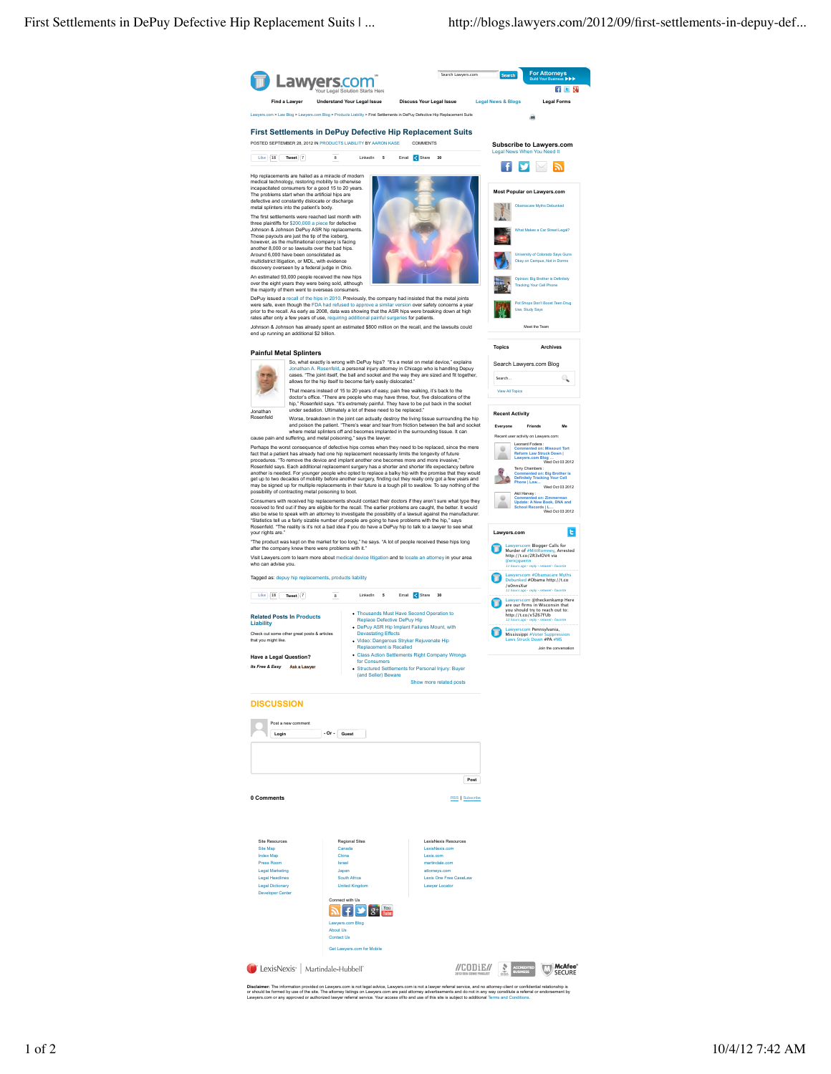

**Disclaimer:** The information provided on Lawyers.com is not legal advice, Lawyers.com is not a lawyer referral sevice, and no attomey-client or confidential relationship is<br>or should be formed by use of the site..The atto